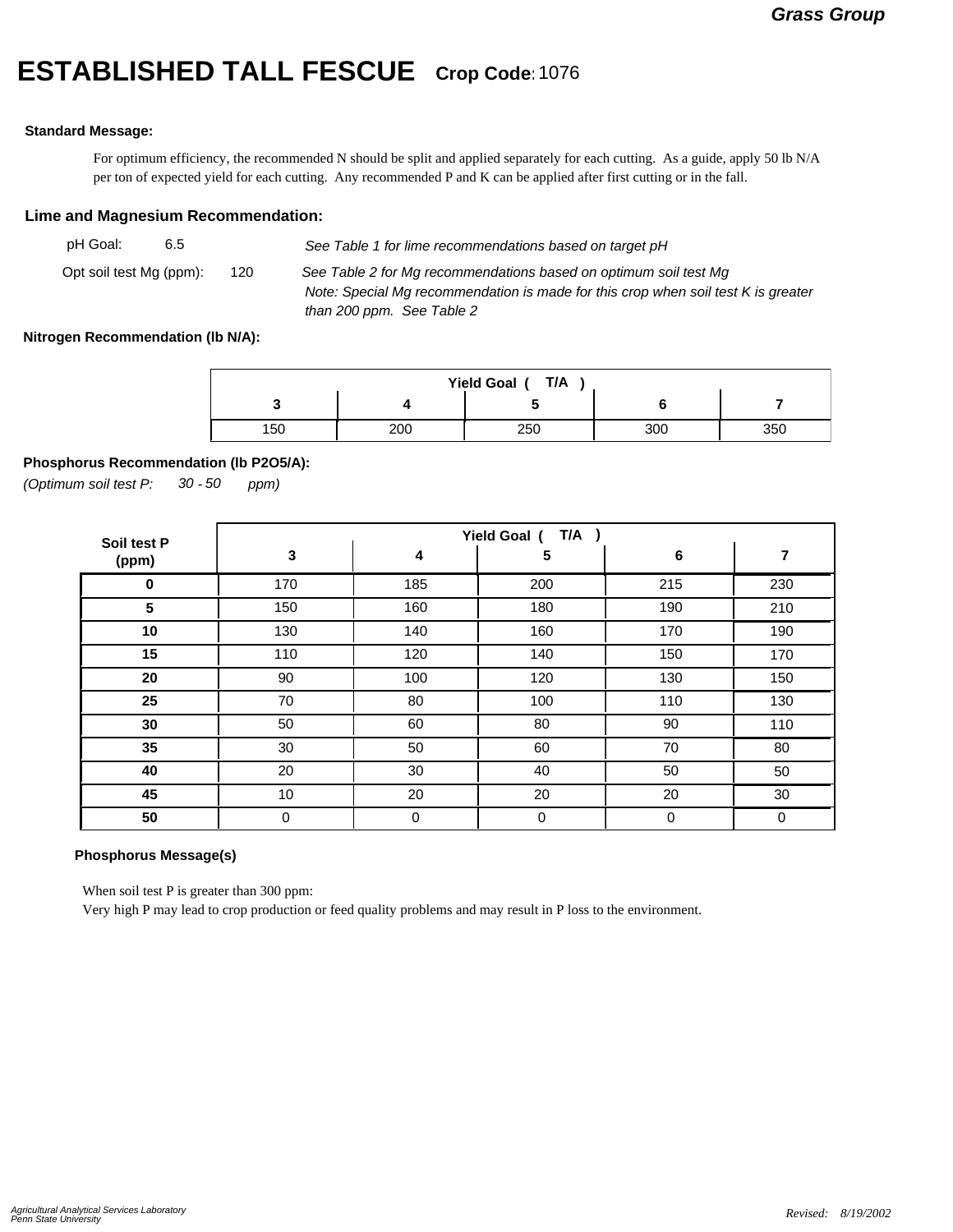# **ESTABLISHED TALL FESCUE Crop Code:**<sup>1076</sup>

#### **Standard Message:**

For optimum efficiency, the recommended N should be split and applied separately for each cutting. As a guide, apply 50 lb N/A per ton of expected yield for each cutting. Any recommended P and K can be applied after first cutting or in the fall.

### **Lime and Magnesium Recommendation:**

| pH Goal:                | 6.5 |     | See Table 1 for lime recommendations based on target pH                                                                                                                            |
|-------------------------|-----|-----|------------------------------------------------------------------------------------------------------------------------------------------------------------------------------------|
| Opt soil test Mg (ppm): |     | 120 | See Table 2 for Mg recommendations based on optimum soil test Mg<br>Note: Special Mg recommendation is made for this crop when soil test K is greater<br>than 200 ppm. See Table 2 |

#### **Nitrogen Recommendation (lb N/A):**

| T/A<br>Yield Goal ( |     |     |     |     |  |  |  |
|---------------------|-----|-----|-----|-----|--|--|--|
|                     |     |     |     |     |  |  |  |
| 150                 | 200 | 250 | 300 | 350 |  |  |  |

#### **Phosphorus Recommendation (lb P2O5/A):**

*(Optimum soil test P: 30 ppm) - 50*

| Soil test P | $T/A$ )<br>Yield Goal ( |     |             |     |     |  |  |
|-------------|-------------------------|-----|-------------|-----|-----|--|--|
| (ppm)       | 3                       | 4   | 5           | 6   | 7   |  |  |
| $\mathbf 0$ | 170                     | 185 | 200         | 215 | 230 |  |  |
| 5           | 150                     | 160 | 180         | 190 | 210 |  |  |
| 10          | 130                     | 140 | 160         | 170 | 190 |  |  |
| 15          | 110                     | 120 | 140         | 150 | 170 |  |  |
| 20          | 90                      | 100 | 120         | 130 | 150 |  |  |
| 25          | 70                      | 80  | 100         | 110 | 130 |  |  |
| 30          | 50                      | 60  | 80          | 90  | 110 |  |  |
| 35          | 30                      | 50  | 60          | 70  | 80  |  |  |
| 40          | 20                      | 30  | 40          | 50  | 50  |  |  |
| 45          | 10                      | 20  | 20          | 20  | 30  |  |  |
| 50          | 0                       | 0   | $\mathbf 0$ | 0   | 0   |  |  |

## **Phosphorus Message(s)**

When soil test P is greater than 300 ppm:

Very high P may lead to crop production or feed quality problems and may result in P loss to the environment.